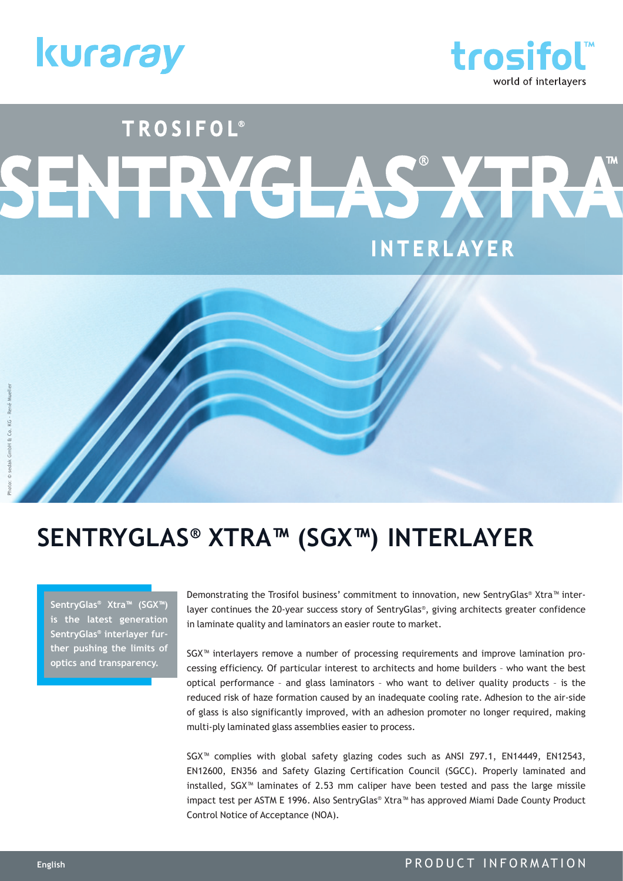



# TROSIFOL® SENTRYGLAS X **INTERLAYER**

## **SENTRYGLAS® XTRA™ (SGX™) INTERLAYER**

**SentryGlas® Xtra™ (SGX™) is the latest generation SentryGlas® interlayer further pushing the limits of optics and transparency.** 

Demonstrating the Trosifol business' commitment to innovation, new SentryGlas® Xtra™ interlayer continues the 20-year success story of SentryGlas®, giving architects greater confidence in laminate quality and laminators an easier route to market.

SGX™ interlayers remove a number of processing requirements and improve lamination processing efficiency. Of particular interest to architects and home builders – who want the best optical performance – and glass laminators – who want to deliver quality products – is the reduced risk of haze formation caused by an inadequate cooling rate. Adhesion to the air-side of glass is also significantly improved, with an adhesion promoter no longer required, making multi-ply laminated glass assemblies easier to process.

SGX™ complies with global safety glazing codes such as ANSI Z97.1, EN14449, EN12543, EN12600, EN356 and Safety Glazing Certification Council (SGCC). Properly laminated and installed, SGX™ laminates of 2.53 mm caliper have been tested and pass the large missile impact test per ASTM E 1996. Also SentryGlas® Xtra™ has approved Miami Dade County Product Control Notice of Acceptance (NOA).